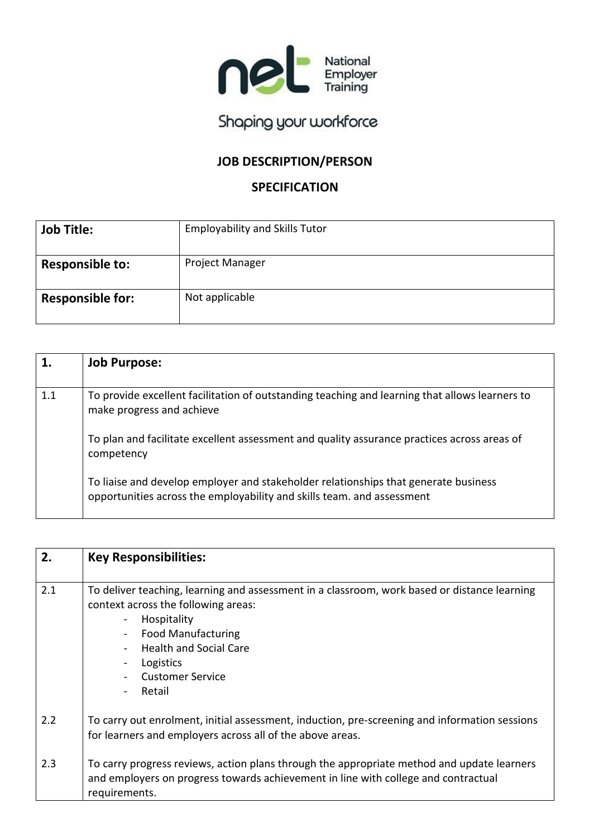

# Shaping your workforce

## **JOB DESCRIPTION/PERSON**

## **SPECIFICATION**

| <b>Job Title:</b>       | <b>Employability and Skills Tutor</b> |
|-------------------------|---------------------------------------|
| <b>Responsible to:</b>  | <b>Project Manager</b>                |
| <b>Responsible for:</b> | Not applicable                        |

|     | <b>Job Purpose:</b>                                                                                                                                           |
|-----|---------------------------------------------------------------------------------------------------------------------------------------------------------------|
| 1.1 | To provide excellent facilitation of outstanding teaching and learning that allows learners to<br>make progress and achieve                                   |
|     | To plan and facilitate excellent assessment and quality assurance practices across areas of<br>competency                                                     |
|     | To liaise and develop employer and stakeholder relationships that generate business<br>opportunities across the employability and skills team. and assessment |

| 2.  | <b>Key Responsibilities:</b>                                                                                                                                                                                                                                |
|-----|-------------------------------------------------------------------------------------------------------------------------------------------------------------------------------------------------------------------------------------------------------------|
| 2.1 | To deliver teaching, learning and assessment in a classroom, work based or distance learning<br>context across the following areas:<br>Hospitality<br><b>Food Manufacturing</b><br><b>Health and Social Care</b><br>Logistics<br>Customer Service<br>Retail |
| 2.2 | To carry out enrolment, initial assessment, induction, pre-screening and information sessions<br>for learners and employers across all of the above areas.                                                                                                  |
| 2.3 | To carry progress reviews, action plans through the appropriate method and update learners<br>and employers on progress towards achievement in line with college and contractual<br>requirements.                                                           |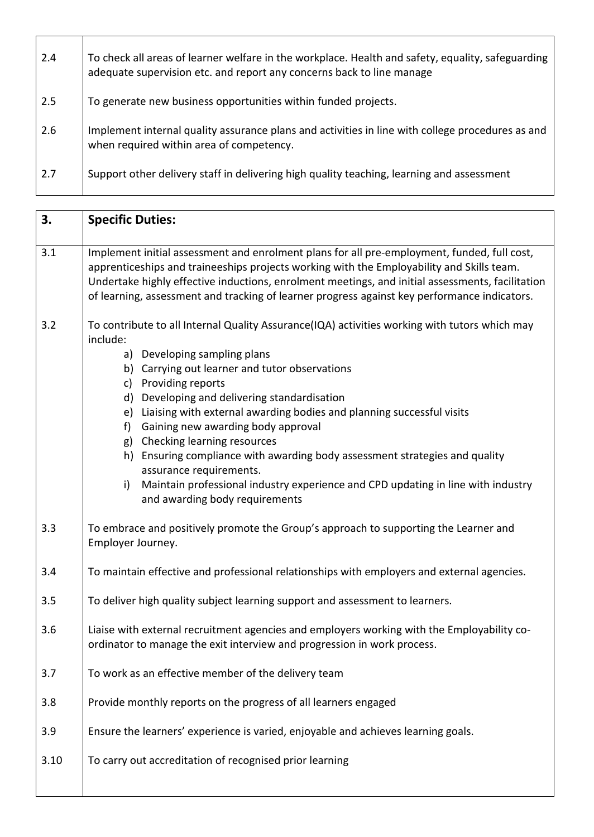| 2.4 | To check all areas of learner welfare in the workplace. Health and safety, equality, safeguarding<br>adequate supervision etc. and report any concerns back to line manage |
|-----|----------------------------------------------------------------------------------------------------------------------------------------------------------------------------|
| 2.5 | To generate new business opportunities within funded projects.                                                                                                             |
| 2.6 | Implement internal quality assurance plans and activities in line with college procedures as and<br>when required within area of competency.                               |
| 2.7 | Support other delivery staff in delivering high quality teaching, learning and assessment                                                                                  |

| 3.   | <b>Specific Duties:</b>                                                                                                                                                                                                                                                                                                                                                                                                                                                                                                                                                                                                                                          |
|------|------------------------------------------------------------------------------------------------------------------------------------------------------------------------------------------------------------------------------------------------------------------------------------------------------------------------------------------------------------------------------------------------------------------------------------------------------------------------------------------------------------------------------------------------------------------------------------------------------------------------------------------------------------------|
| 3.1  | Implement initial assessment and enrolment plans for all pre-employment, funded, full cost,<br>apprenticeships and traineeships projects working with the Employability and Skills team.<br>Undertake highly effective inductions, enrolment meetings, and initial assessments, facilitation<br>of learning, assessment and tracking of learner progress against key performance indicators.                                                                                                                                                                                                                                                                     |
| 3.2  | To contribute to all Internal Quality Assurance(IQA) activities working with tutors which may<br>include:<br>a) Developing sampling plans<br>b) Carrying out learner and tutor observations<br>c) Providing reports<br>d) Developing and delivering standardisation<br>e) Liaising with external awarding bodies and planning successful visits<br>f) Gaining new awarding body approval<br>g) Checking learning resources<br>h) Ensuring compliance with awarding body assessment strategies and quality<br>assurance requirements.<br>Maintain professional industry experience and CPD updating in line with industry<br>i)<br>and awarding body requirements |
| 3.3  | To embrace and positively promote the Group's approach to supporting the Learner and<br>Employer Journey.                                                                                                                                                                                                                                                                                                                                                                                                                                                                                                                                                        |
| 3.4  | To maintain effective and professional relationships with employers and external agencies.                                                                                                                                                                                                                                                                                                                                                                                                                                                                                                                                                                       |
| 3.5  | To deliver high quality subject learning support and assessment to learners.                                                                                                                                                                                                                                                                                                                                                                                                                                                                                                                                                                                     |
| 3.6  | Liaise with external recruitment agencies and employers working with the Employability co-<br>ordinator to manage the exit interview and progression in work process.                                                                                                                                                                                                                                                                                                                                                                                                                                                                                            |
| 3.7  | To work as an effective member of the delivery team                                                                                                                                                                                                                                                                                                                                                                                                                                                                                                                                                                                                              |
| 3.8  | Provide monthly reports on the progress of all learners engaged                                                                                                                                                                                                                                                                                                                                                                                                                                                                                                                                                                                                  |
| 3.9  | Ensure the learners' experience is varied, enjoyable and achieves learning goals.                                                                                                                                                                                                                                                                                                                                                                                                                                                                                                                                                                                |
| 3.10 | To carry out accreditation of recognised prior learning                                                                                                                                                                                                                                                                                                                                                                                                                                                                                                                                                                                                          |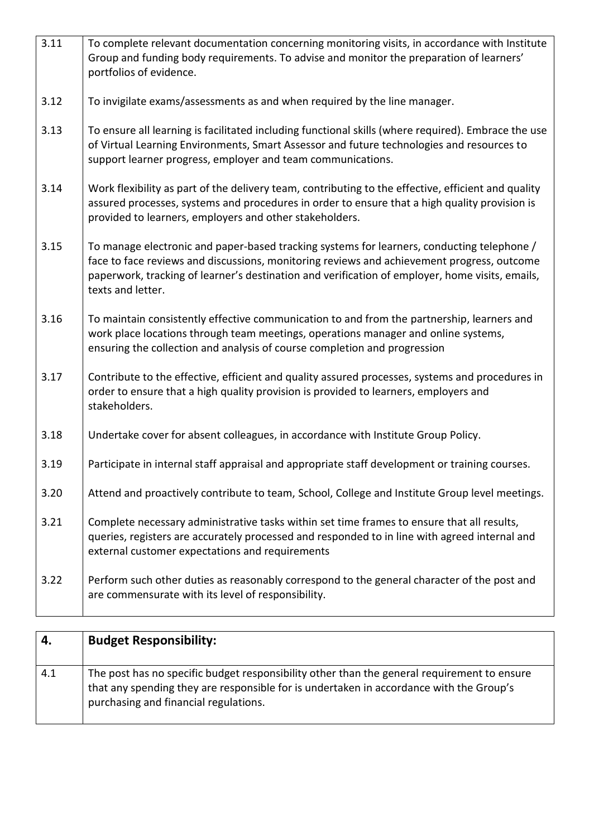| 3.11 | To complete relevant documentation concerning monitoring visits, in accordance with Institute<br>Group and funding body requirements. To advise and monitor the preparation of learners'<br>portfolios of evidence.                                                                                              |
|------|------------------------------------------------------------------------------------------------------------------------------------------------------------------------------------------------------------------------------------------------------------------------------------------------------------------|
| 3.12 | To invigilate exams/assessments as and when required by the line manager.                                                                                                                                                                                                                                        |
| 3.13 | To ensure all learning is facilitated including functional skills (where required). Embrace the use<br>of Virtual Learning Environments, Smart Assessor and future technologies and resources to<br>support learner progress, employer and team communications.                                                  |
| 3.14 | Work flexibility as part of the delivery team, contributing to the effective, efficient and quality<br>assured processes, systems and procedures in order to ensure that a high quality provision is<br>provided to learners, employers and other stakeholders.                                                  |
| 3.15 | To manage electronic and paper-based tracking systems for learners, conducting telephone /<br>face to face reviews and discussions, monitoring reviews and achievement progress, outcome<br>paperwork, tracking of learner's destination and verification of employer, home visits, emails,<br>texts and letter. |
| 3.16 | To maintain consistently effective communication to and from the partnership, learners and<br>work place locations through team meetings, operations manager and online systems,<br>ensuring the collection and analysis of course completion and progression                                                    |
| 3.17 | Contribute to the effective, efficient and quality assured processes, systems and procedures in<br>order to ensure that a high quality provision is provided to learners, employers and<br>stakeholders.                                                                                                         |
| 3.18 | Undertake cover for absent colleagues, in accordance with Institute Group Policy.                                                                                                                                                                                                                                |
| 3.19 | Participate in internal staff appraisal and appropriate staff development or training courses.                                                                                                                                                                                                                   |
| 3.20 | Attend and proactively contribute to team, School, College and Institute Group level meetings.                                                                                                                                                                                                                   |
| 3.21 | Complete necessary administrative tasks within set time frames to ensure that all results,<br>queries, registers are accurately processed and responded to in line with agreed internal and<br>external customer expectations and requirements                                                                   |
| 3.22 | Perform such other duties as reasonably correspond to the general character of the post and<br>are commensurate with its level of responsibility.                                                                                                                                                                |

| 4.  | <b>Budget Responsibility:</b>                                                                                                                                                                                                   |
|-----|---------------------------------------------------------------------------------------------------------------------------------------------------------------------------------------------------------------------------------|
| 4.1 | The post has no specific budget responsibility other than the general requirement to ensure<br>that any spending they are responsible for is undertaken in accordance with the Group's<br>purchasing and financial regulations. |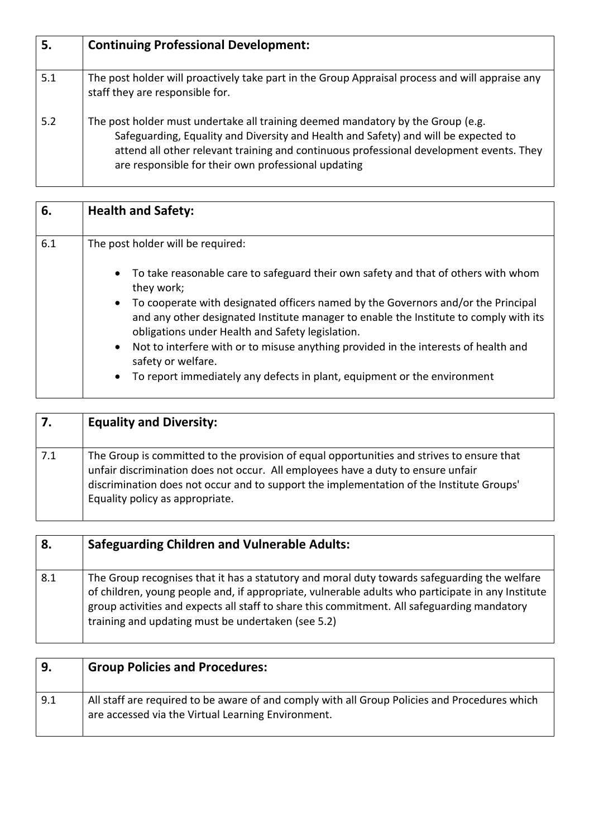| 5.  | <b>Continuing Professional Development:</b>                                                                                                                                                                                                                                                                              |
|-----|--------------------------------------------------------------------------------------------------------------------------------------------------------------------------------------------------------------------------------------------------------------------------------------------------------------------------|
| 5.1 | The post holder will proactively take part in the Group Appraisal process and will appraise any<br>staff they are responsible for.                                                                                                                                                                                       |
| 5.2 | The post holder must undertake all training deemed mandatory by the Group (e.g.<br>Safeguarding, Equality and Diversity and Health and Safety) and will be expected to<br>attend all other relevant training and continuous professional development events. They<br>are responsible for their own professional updating |

| 6.  | <b>Health and Safety:</b>                                                                                                                                                                                                                                                                                                                                                                                                                                                                                                                                                       |
|-----|---------------------------------------------------------------------------------------------------------------------------------------------------------------------------------------------------------------------------------------------------------------------------------------------------------------------------------------------------------------------------------------------------------------------------------------------------------------------------------------------------------------------------------------------------------------------------------|
| 6.1 | The post holder will be required:                                                                                                                                                                                                                                                                                                                                                                                                                                                                                                                                               |
|     | To take reasonable care to safeguard their own safety and that of others with whom<br>$\bullet$<br>they work;<br>To cooperate with designated officers named by the Governors and/or the Principal<br>$\bullet$<br>and any other designated Institute manager to enable the Institute to comply with its<br>obligations under Health and Safety legislation.<br>Not to interfere with or to misuse anything provided in the interests of health and<br>$\bullet$<br>safety or welfare.<br>To report immediately any defects in plant, equipment or the environment<br>$\bullet$ |

| 7.  | <b>Equality and Diversity:</b>                                                                                                                                                                                                                                                                               |
|-----|--------------------------------------------------------------------------------------------------------------------------------------------------------------------------------------------------------------------------------------------------------------------------------------------------------------|
| 7.1 | The Group is committed to the provision of equal opportunities and strives to ensure that<br>unfair discrimination does not occur. All employees have a duty to ensure unfair<br>discrimination does not occur and to support the implementation of the Institute Groups'<br>Equality policy as appropriate. |

| 8.  | <b>Safeguarding Children and Vulnerable Adults:</b>                                                                                                                                                                                                                                                                                                    |
|-----|--------------------------------------------------------------------------------------------------------------------------------------------------------------------------------------------------------------------------------------------------------------------------------------------------------------------------------------------------------|
| 8.1 | The Group recognises that it has a statutory and moral duty towards safeguarding the welfare<br>of children, young people and, if appropriate, vulnerable adults who participate in any Institute<br>group activities and expects all staff to share this commitment. All safeguarding mandatory<br>training and updating must be undertaken (see 5.2) |

| 9.  | <b>Group Policies and Procedures:</b>                                                                                                               |
|-----|-----------------------------------------------------------------------------------------------------------------------------------------------------|
| 9.1 | All staff are required to be aware of and comply with all Group Policies and Procedures which<br>are accessed via the Virtual Learning Environment. |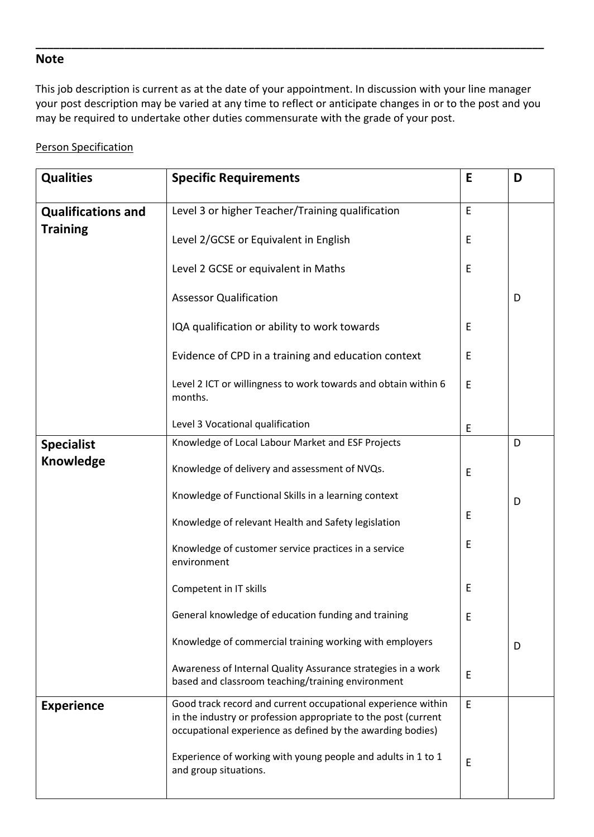### **Note**

This job description is current as at the date of your appointment. In discussion with your line manager your post description may be varied at any time to reflect or anticipate changes in or to the post and you may be required to undertake other duties commensurate with the grade of your post.

**\_\_\_\_\_\_\_\_\_\_\_\_\_\_\_\_\_\_\_\_\_\_\_\_\_\_\_\_\_\_\_\_\_\_\_\_\_\_\_\_\_\_\_\_\_\_\_\_\_\_\_\_\_\_\_\_\_\_\_\_\_\_\_\_\_\_\_\_\_\_\_\_\_\_\_\_\_\_\_\_\_\_\_\_\_\_** 

#### Person Specification

| <b>Qualities</b>                             | <b>Specific Requirements</b>                                                                                                                                                                 | E | D |
|----------------------------------------------|----------------------------------------------------------------------------------------------------------------------------------------------------------------------------------------------|---|---|
| <b>Qualifications and</b><br><b>Training</b> | Level 3 or higher Teacher/Training qualification                                                                                                                                             | E |   |
|                                              | Level 2/GCSE or Equivalent in English                                                                                                                                                        | E |   |
|                                              | Level 2 GCSE or equivalent in Maths                                                                                                                                                          | E |   |
|                                              | <b>Assessor Qualification</b>                                                                                                                                                                |   | D |
|                                              | IQA qualification or ability to work towards                                                                                                                                                 | E |   |
|                                              | Evidence of CPD in a training and education context                                                                                                                                          | E |   |
|                                              | Level 2 ICT or willingness to work towards and obtain within 6<br>months.                                                                                                                    | E |   |
|                                              | Level 3 Vocational qualification                                                                                                                                                             | E |   |
| <b>Specialist</b>                            | Knowledge of Local Labour Market and ESF Projects                                                                                                                                            |   | D |
| <b>Knowledge</b>                             | Knowledge of delivery and assessment of NVQs.                                                                                                                                                | E |   |
|                                              | Knowledge of Functional Skills in a learning context                                                                                                                                         |   | D |
|                                              | Knowledge of relevant Health and Safety legislation                                                                                                                                          | E |   |
|                                              | Knowledge of customer service practices in a service<br>environment                                                                                                                          | E |   |
|                                              | Competent in IT skills                                                                                                                                                                       | E |   |
|                                              | General knowledge of education funding and training                                                                                                                                          | E |   |
|                                              | Knowledge of commercial training working with employers                                                                                                                                      |   | D |
|                                              | Awareness of Internal Quality Assurance strategies in a work<br>based and classroom teaching/training environment                                                                            | E |   |
| <b>Experience</b>                            | Good track record and current occupational experience within<br>in the industry or profession appropriate to the post (current<br>occupational experience as defined by the awarding bodies) | E |   |
|                                              | Experience of working with young people and adults in 1 to 1<br>and group situations.                                                                                                        | E |   |